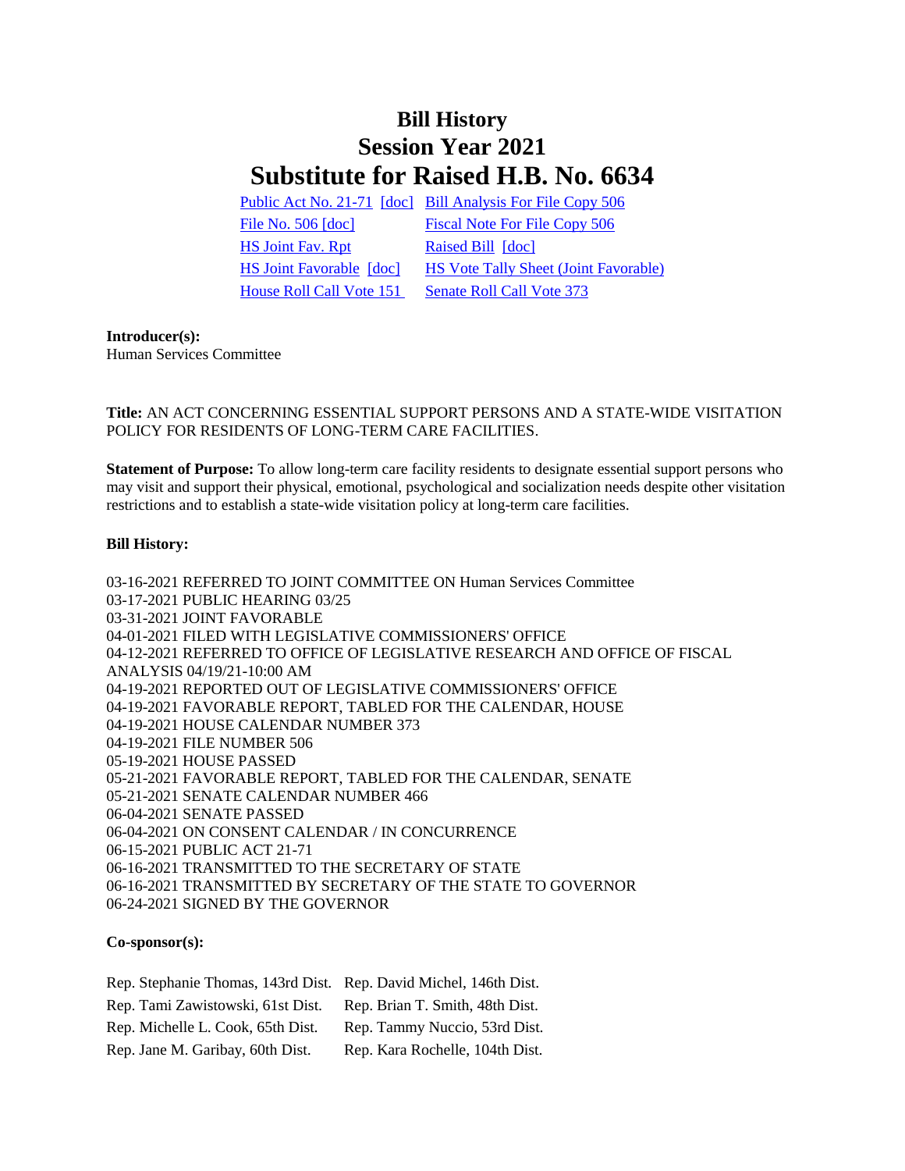# **Bill History Session Year 2021 Substitute for Raised H.B. No. 6634**

[Public Act No. 21-71](/2021/ACT/PA/PDF/2021PA-00071-R00HB-06634-PA.PDF) [\[doc\]](https://search.cga.state.ct.us/dl2021/PA/DOC/2021PA-00071-R00HB-06634-PA.DOCX) [Bill Analysis For File Copy 506](/2021/BA/PDF/2021HB-06634-R000506-BA.PDF) [File No. 506](/2021/FC/PDF/2021HB-06634-R000506-FC.PDF) [\[doc\]](/2021/FC/PDF/2021HB-06634-R000506-FC.PDF) [Fiscal Note For File Copy 506](/2021/FN/PDF/2021HB-06634-R000506-FN.PDF) [HS Joint Fav. Rpt](/2021/JFR/H/PDF/2021HB-06634-R00HS-JFR.PDF) [Raised Bill](/2021/TOB/H/PDF/2021HB-06634-R00-HB.PDF) [\[doc\]](https://search.cga.state.ct.us/dl2021/TOB/DOC/2021HB-06634-R00-HB.DOCX) [HS Joint Favorable](/2021/TOB/H/PDF/2021HB-06634-R01-HB.PDF) [\[doc\]](https://search.cga.state.ct.us/dl2021/TOB/DOC/2021HB-06634-R01-HB.DOCX) [HS Vote Tally Sheet \(Joint Favorable\)](/2021/TS/H/PDF/2021HB-06634-R00HS-CV49-TS.PDF) [House Roll Call Vote 151](/2021/VOTE/H/PDF/2021HV-00151-R00HB06634-HV.PDF) Senate Roll Call Vote 373

# **Introducer(s):**

Human Services Committee

# **Title:** AN ACT CONCERNING ESSENTIAL SUPPORT PERSONS AND A STATE-WIDE VISITATION POLICY FOR RESIDENTS OF LONG-TERM CARE FACILITIES.

**Statement of Purpose:** To allow long-term care facility residents to designate essential support persons who may visit and support their physical, emotional, psychological and socialization needs despite other visitation restrictions and to establish a state-wide visitation policy at long-term care facilities.

# **Bill History:**

03-16-2021 REFERRED TO JOINT COMMITTEE ON Human Services Committee 03-17-2021 PUBLIC HEARING 03/25 03-31-2021 JOINT FAVORABLE 04-01-2021 FILED WITH LEGISLATIVE COMMISSIONERS' OFFICE 04-12-2021 REFERRED TO OFFICE OF LEGISLATIVE RESEARCH AND OFFICE OF FISCAL ANALYSIS 04/19/21-10:00 AM 04-19-2021 REPORTED OUT OF LEGISLATIVE COMMISSIONERS' OFFICE 04-19-2021 FAVORABLE REPORT, TABLED FOR THE CALENDAR, HOUSE 04-19-2021 HOUSE CALENDAR NUMBER 373 04-19-2021 FILE NUMBER 506 05-19-2021 HOUSE PASSED 05-21-2021 FAVORABLE REPORT, TABLED FOR THE CALENDAR, SENATE 05-21-2021 SENATE CALENDAR NUMBER 466 06-04-2021 SENATE PASSED 06-04-2021 ON CONSENT CALENDAR / IN CONCURRENCE 06-15-2021 PUBLIC ACT 21-71 06-16-2021 TRANSMITTED TO THE SECRETARY OF STATE 06-16-2021 TRANSMITTED BY SECRETARY OF THE STATE TO GOVERNOR 06-24-2021 SIGNED BY THE GOVERNOR

# **Co-sponsor(s):**

| Rep. Stephanie Thomas, 143rd Dist. Rep. David Michel, 146th Dist. |                                 |
|-------------------------------------------------------------------|---------------------------------|
| Rep. Tami Zawistowski, 61st Dist.                                 | Rep. Brian T. Smith, 48th Dist. |
| Rep. Michelle L. Cook, 65th Dist.                                 | Rep. Tammy Nuccio, 53rd Dist.   |
| Rep. Jane M. Garibay, 60th Dist.                                  | Rep. Kara Rochelle, 104th Dist. |